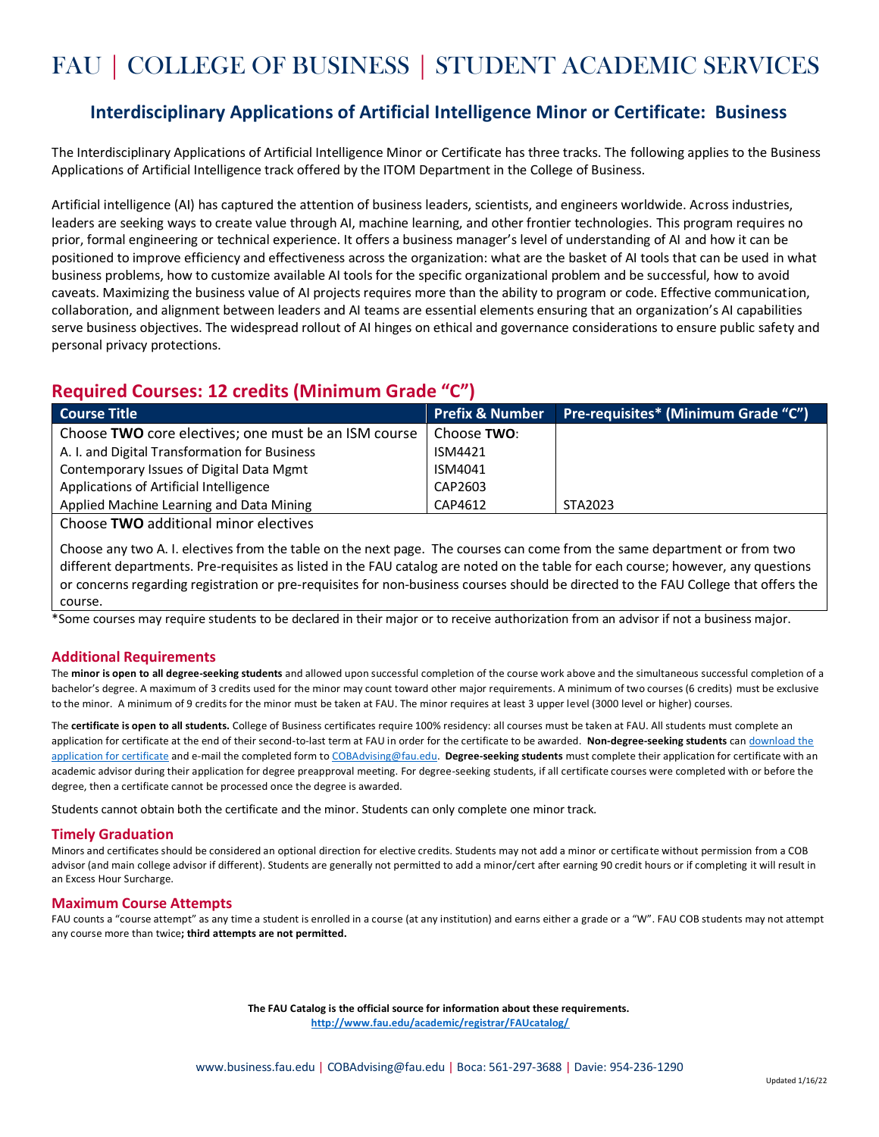# FAU | COLLEGE OF BUSINESS | STUDENT ACADEMIC SERVICES

### **Interdisciplinary Applications of Artificial Intelligence Minor or Certificate: Business**

The Interdisciplinary Applications of Artificial Intelligence Minor or Certificate has three tracks. The following applies to the Business Applications of Artificial Intelligence track offered by the ITOM Department in the College of Business.

Artificial intelligence (AI) has captured the attention of business leaders, scientists, and engineers worldwide. Across industries, leaders are seeking ways to create value through AI, machine learning, and other frontier technologies. This program requires no prior, formal engineering or technical experience. It offers a business manager's level of understanding of AI and how it can be positioned to improve efficiency and effectiveness across the organization: what are the basket of AI tools that can be used in what business problems, how to customize available AI tools for the specific organizational problem and be successful, how to avoid caveats. Maximizing the business value of AI projects requires more than the ability to program or code. Effective communication, collaboration, and alignment between leaders and AI teams are essential elements ensuring that an organization's AI capabilities serve business objectives. The widespread rollout of AI hinges on ethical and governance considerations to ensure public safety and personal privacy protections.

## **Required Courses: 12 credits (Minimum Grade "C")**

| <b>Course Title</b>                                  | <b>Prefix &amp; Number</b> | Pre-requisites* (Minimum Grade "C") |
|------------------------------------------------------|----------------------------|-------------------------------------|
| Choose TWO core electives; one must be an ISM course | Choose TWO:                |                                     |
| A. I. and Digital Transformation for Business        | ISM4421                    |                                     |
| Contemporary Issues of Digital Data Mgmt             | ISM4041                    |                                     |
| Applications of Artificial Intelligence              | CAP2603                    |                                     |
| Applied Machine Learning and Data Mining             | CAP4612                    | STA2023                             |

Choose **TWO** additional minor electives

Choose any two A. I. electives from the table on the next page. The courses can come from the same department or from two different departments. Pre-requisites as listed in the FAU catalog are noted on the table for each course; however, any questions or concerns regarding registration or pre-requisites for non-business courses should be directed to the FAU College that offers the course.

\*Some courses may require students to be declared in their major or to receive authorization from an advisor if not a business major.

#### **Additional Requirements**

The **minor is open to all degree-seeking students** and allowed upon successful completion of the course work above and the simultaneous successful completion of a bachelor's degree. A maximum of 3 credits used for the minor may count toward other major requirements. A minimum of two courses (6 credits) must be exclusive to the minor. A minimum of 9 credits for the minor must be taken at FAU. The minor requires at least 3 upper level (3000 level or higher) courses.

The **certificate is open to all students.** College of Business certificates require 100% residency: all courses must be taken at FAU. All students must complete an application for certificate at the end of their second-to-last term at FAU in order for the certificate to be awarded. **Non-degree-seeking students** can [download the](https://www.fau.edu/registrar/graduation/deg_app_cert.php)  [application for certificate](https://www.fau.edu/registrar/graduation/deg_app_cert.php) and e-mail the completed form t[o COBAdvising@fau.edu.](mailto:COBAdvising@fau.edu) **Degree-seeking students** must complete their application for certificate with an academic advisor during their application for degree preapproval meeting. For degree-seeking students, if all certificate courses were completed with or before the degree, then a certificate cannot be processed once the degree is awarded.

Students cannot obtain both the certificate and the minor. Students can only complete one minor track.

#### **Timely Graduation**

Minors and certificates should be considered an optional direction for elective credits. Students may not add a minor or certificate without permission from a COB advisor (and main college advisor if different). Students are generally not permitted to add a minor/cert after earning 90 credit hours or if completing it will result in an Excess Hour Surcharge.

#### **Maximum Course Attempts**

FAU counts a "course attempt" as any time a student is enrolled in a course (at any institution) and earns either a grade or a "W". FAU COB students may not attempt any course more than twice**; third attempts are not permitted.**

> **The FAU Catalog is the official source for information about these requirements. <http://www.fau.edu/academic/registrar/FAUcatalog/>**